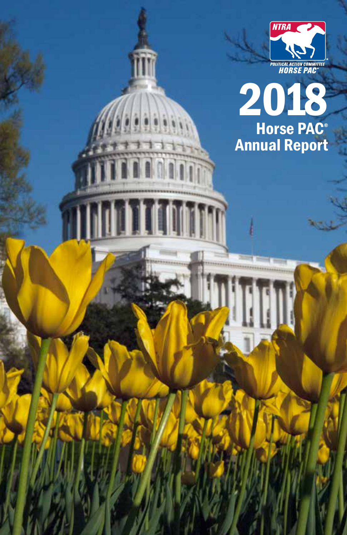



**I THEFT**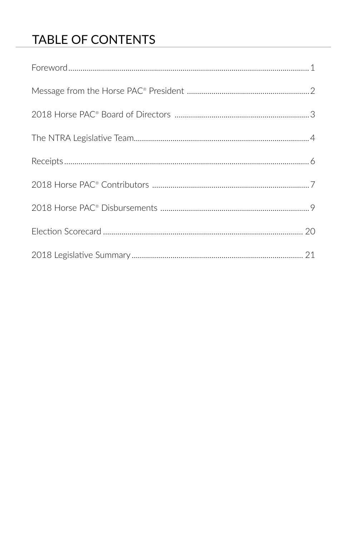## TABLE OF CONTENTS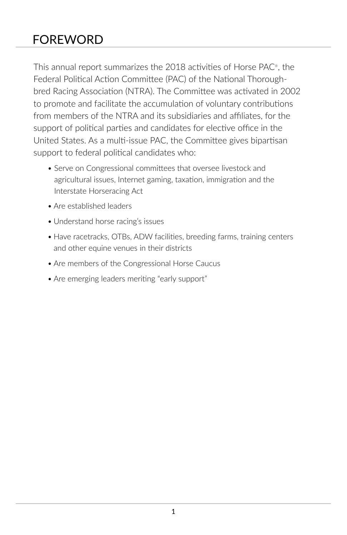## FOREWORD

This annual report summarizes the 2018 activities of Horse PAC® , the Federal Political Action Committee (PAC) of the National Thoroughbred Racing Association (NTRA). The Committee was activated in 2002 to promote and facilitate the accumulation of voluntary contributions from members of the NTRA and its subsidiaries and affiliates, for the support of political parties and candidates for elective office in the United States. As a multi-issue PAC, the Committee gives bipartisan support to federal political candidates who:

- Serve on Congressional committees that oversee livestock and agricultural issues, Internet gaming, taxation, immigration and the Interstate Horseracing Act
- Are established leaders
- Understand horse racing's issues
- Have racetracks, OTBs, ADW facilities, breeding farms, training centers and other equine venues in their districts
- Are members of the Congressional Horse Caucus
- Are emerging leaders meriting "early support"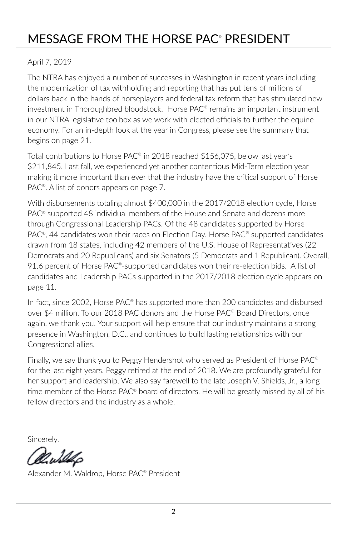## MESSAGE FROM THE HORSE PAC® PRESIDENT

#### April 7, 2019

The NTRA has enjoyed a number of successes in Washington in recent years including the modernization of tax withholding and reporting that has put tens of millions of dollars back in the hands of horseplayers and federal tax reform that has stimulated new investment in Thoroughbred bloodstock. Horse PAC® remains an important instrument in our NTRA legislative toolbox as we work with elected officials to further the equine economy. For an in-depth look at the year in Congress, please see the summary that begins on page 21.

Total contributions to Horse PAC® in 2018 reached \$156,075, below last year's \$211,845. Last fall, we experienced yet another contentious Mid-Term election year making it more important than ever that the industry have the critical support of Horse PAC<sup>®</sup>. A list of donors appears on page 7.

With disbursements totaling almost \$400,000 in the 2017/2018 election cycle, Horse PAC® supported 48 individual members of the House and Senate and dozens more through Congressional Leadership PACs. Of the 48 candidates supported by Horse PAC<sup>®</sup>, 44 candidates won their races on Election Day. Horse PAC<sup>®</sup> supported candidates drawn from 18 states, including 42 members of the U.S. House of Representatives (22 Democrats and 20 Republicans) and six Senators (5 Democrats and 1 Republican). Overall, 91.6 percent of Horse PAC<sup>®</sup>-supported candidates won their re-election bids. A list of candidates and Leadership PACs supported in the 2017/2018 election cycle appears on page 11.

In fact, since 2002, Horse PAC<sup>®</sup> has supported more than 200 candidates and disbursed over \$4 million. To our 2018 PAC donors and the Horse PAC® Board Directors, once again, we thank you. Your support will help ensure that our industry maintains a strong presence in Washington, D.C., and continues to build lasting relationships with our Congressional allies.

Finally, we say thank you to Peggy Hendershot who served as President of Horse PAC® for the last eight years. Peggy retired at the end of 2018. We are profoundly grateful for her support and leadership. We also say farewell to the late Joseph V. Shields, Jr., a longtime member of the Horse PAC® board of directors. He will be greatly missed by all of his fellow directors and the industry as a whole.

Sincerely,

Alexander M. Waldrop, Horse PAC® President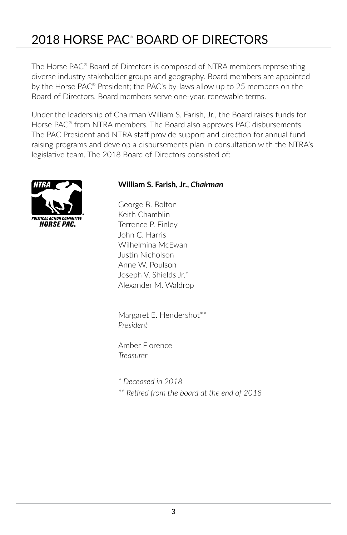## 2018 HORSE PAC® BOARD OF DIRECTORS

The Horse PAC® Board of Directors is composed of NTRA members representing diverse industry stakeholder groups and geography. Board members are appointed by the Horse PAC<sup>®</sup> President; the PAC's by-laws allow up to 25 members on the Board of Directors. Board members serve one-year, renewable terms.

Under the leadership of Chairman William S. Farish, Jr., the Board raises funds for Horse PAC<sup>®</sup> from NTRA members. The Board also approves PAC disbursements. The PAC President and NTRA staff provide support and direction for annual fundraising programs and develop a disbursements plan in consultation with the NTRA's legislative team. The 2018 Board of Directors consisted of:



#### **William S. Farish, Jr.,** *Chairman*

George B. Bolton Keith Chamblin Terrence P. Finley John C. Harris Wilhelmina McEwan Justin Nicholson Anne W. Poulson Joseph V. Shields Jr.\* Alexander M. Waldrop

Margaret E. Hendershot\*\* *President*

Amber Florence *Treasurer*

*\* Deceased in 2018*

*\*\* Retired from the board at the end of 2018*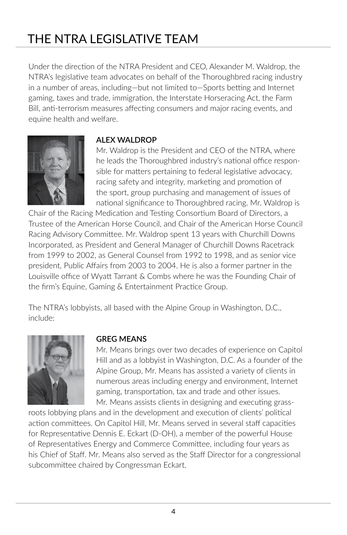# THE NTRA LEGISLATIVE TEAM

Under the direction of the NTRA President and CEO, Alexander M. Waldrop, the NTRA's legislative team advocates on behalf of the Thoroughbred racing industry in a number of areas, including—but not limited to—Sports betting and Internet gaming, taxes and trade, immigration, the Interstate Horseracing Act, the Farm Bill, anti-terrorism measures affecting consumers and major racing events, and equine health and welfare.



#### **ALEX WALDROP**

Mr. Waldrop is the President and CEO of the NTRA, where he leads the Thoroughbred industry's national office responsible for matters pertaining to federal legislative advocacy, racing safety and integrity, marketing and promotion of the sport, group purchasing and management of issues of national significance to Thoroughbred racing. Mr. Waldrop is

Chair of the Racing Medication and Testing Consortium Board of Directors, a Trustee of the American Horse Council, and Chair of the American Horse Council Racing Advisory Committee. Mr. Waldrop spent 13 years with Churchill Downs Incorporated, as President and General Manager of Churchill Downs Racetrack from 1999 to 2002, as General Counsel from 1992 to 1998, and as senior vice president, Public Affairs from 2003 to 2004. He is also a former partner in the Louisville office of Wyatt Tarrant & Combs where he was the Founding Chair of the firm's Equine, Gaming & Entertainment Practice Group.

The NTRA's lobbyists, all based with the Alpine Group in Washington, D.C., include:



#### **GREG MEANS**

Mr. Means brings over two decades of experience on Capitol Hill and as a lobbyist in Washington, D.C. As a founder of the Alpine Group, Mr. Means has assisted a variety of clients in numerous areas including energy and environment, Internet gaming, transportation, tax and trade and other issues. Mr. Means assists clients in designing and executing grass-

roots lobbying plans and in the development and execution of clients' political action committees. On Capitol Hill, Mr. Means served in several staff capacities for Representative Dennis E. Eckart (D-OH), a member of the powerful House of Representatives Energy and Commerce Committee, including four years as his Chief of Staff. Mr. Means also served as the Staff Director for a congressional subcommittee chaired by Congressman Eckart.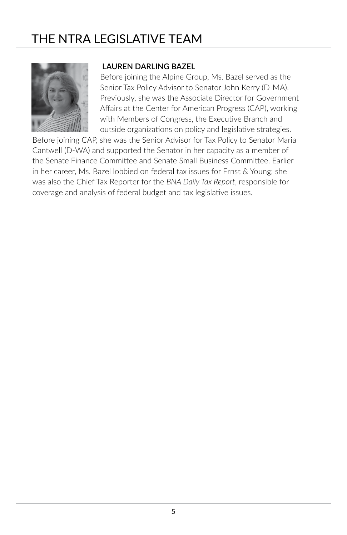## THE NTRA LEGISLATIVE TEAM



#### **LAUREN DARLING BAZEL**

Before joining the Alpine Group, Ms. Bazel served as the Senior Tax Policy Advisor to Senator John Kerry (D-MA). Previously, she was the Associate Director for Government Affairs at the Center for American Progress (CAP), working with Members of Congress, the Executive Branch and outside organizations on policy and legislative strategies.

Before joining CAP, she was the Senior Advisor for Tax Policy to Senator Maria Cantwell (D-WA) and supported the Senator in her capacity as a member of the Senate Finance Committee and Senate Small Business Committee. Earlier in her career, Ms. Bazel lobbied on federal tax issues for Ernst & Young; she was also the Chief Tax Reporter for the *BNA Daily Tax Report*, responsible for coverage and analysis of federal budget and tax legislative issues.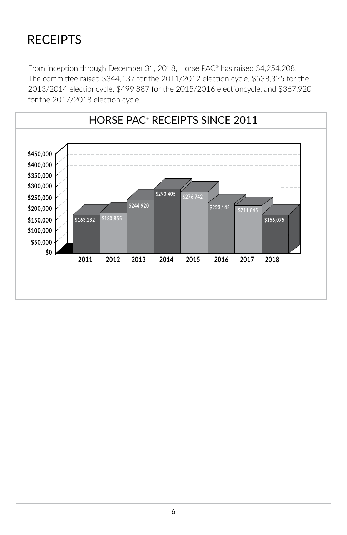### RECEIPTS

From inception through December 31, 2018, Horse PAC® has raised \$4,254,208. The committee raised \$344,137 for the 2011/2012 election cycle, \$538,325 for the 2013/2014 electioncycle, \$499,887 for the 2015/2016 electioncycle, and \$367,920 for the 2017/2018 election cycle.

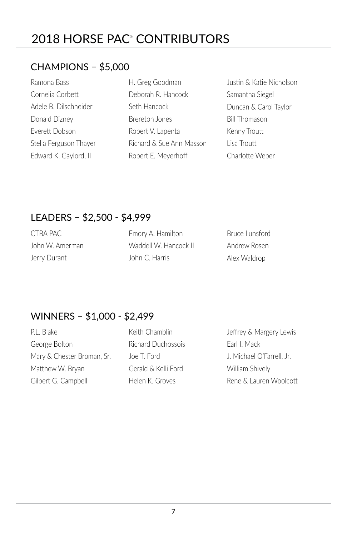## 2018 HORSE PAC® CONTRIBUTORS

### CHAMPIONS – \$5,000

| Ramona Bass            |
|------------------------|
| Cornelia Corbett       |
| Adele B. Dilschneider  |
| Donald Dizney          |
| Everett Dobson         |
| Stella Ferguson Thayer |
| Edward K. Gaylord, II  |

| H. Greg Goodman          |
|--------------------------|
| Deborah R. Hancock       |
| Seth Hancock             |
| Brereton Jones           |
| Robert V. Lapenta        |
| Richard & Sue Ann Masson |
| Robert E. Meyerhoff      |

Justin & Katie Nicholson Samantha Siegel Duncan & Carol Taylor Bill Thomason Kenny Troutt Lisa Troutt Charlotte Weber

### LEADERS – \$2,500 - \$4,999

| CTBA PAC        | Emory A. Hamilton     | <b>Bruce Lunsford</b> |
|-----------------|-----------------------|-----------------------|
| John W. Amerman | Waddell W. Hancock II | Andrew Rosen          |
| Jerry Durant    | John C. Harris        | Alex Waldrop          |

### WINNERS – \$1,000 - \$2,499

P.L. Blake George Bolton Mary & Chester Broman, Sr. Matthew W. Bryan Gilbert G. Campbell

Keith Chamblin Richard Duchossois Joe T. Ford Gerald & Kelli Ford Helen K. Groves

Jeffrey & Margery Lewis Earl I. Mack J. Michael O'Farrell, Jr. William Shively Rene & Lauren Woolcott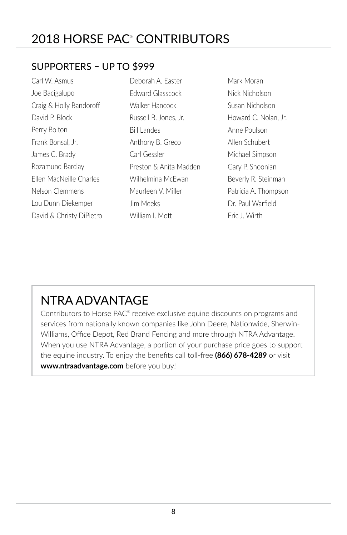## 2018 HORSE PAC® CONTRIBUTORS

### SUPPORTERS – UP TO \$999

Carl W. Asmus Joe Bacigalupo Craig & Holly Bandoroff David P. Block Perry Bolton Frank Bonsal, Jr. James C. Brady Rozamund Barclay Ellen MacNeille Charles Nelson Clemmens Lou Dunn Diekemper David & Christy DiPietro

Deborah A. Easter Edward Glasscock Walker Hancock Russell B. Jones, Jr. Bill Landes Anthony B. Greco Carl Gessler Preston & Anita Madden Wilhelmina McEwan Maurleen V. Miller Jim Meeks William I. Mott

Mark Moran Nick Nicholson Susan Nicholson Howard C. Nolan, Jr. Anne Poulson Allen Schubert Michael Simpson Gary P. Snoonian Beverly R. Steinman Patricia A. Thompson Dr. Paul Warfield Eric J. Wirth

# NTRA ADVANTAGE

Contributors to Horse PAC® receive exclusive equine discounts on programs and services from nationally known companies like John Deere, Nationwide, Sherwin-Williams, Office Depot, Red Brand Fencing and more through NTRA Advantage. When you use NTRA Advantage, a portion of your purchase price goes to support the equine industry. To enjoy the benefits call toll-free **(866) 678-4289** or visit **www.ntraadvantage.com** before you buy!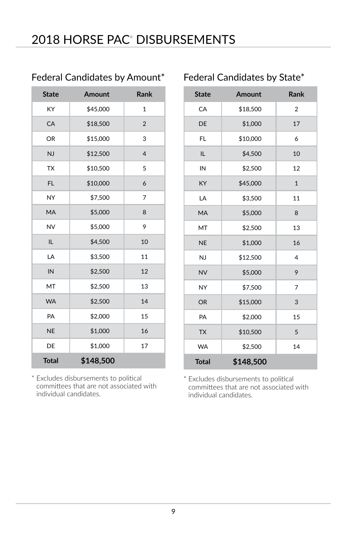| <b>State</b> | Amount    | Rank           |
|--------------|-----------|----------------|
| KY           | \$45,000  | $\mathbf{1}$   |
| CA           | \$18,500  | $\overline{2}$ |
| <b>OR</b>    | \$15,000  | 3              |
| NJ           | \$12,500  | $\overline{4}$ |
| <b>TX</b>    | \$10,500  | 5              |
| <b>FL</b>    | \$10,000  | 6              |
| NY           | \$7,500   | 7              |
| <b>MA</b>    | \$5,000   | 8              |
| <b>NV</b>    | \$5,000   | 9              |
| IL           | \$4,500   | 10             |
| LA           | \$3,500   | 11             |
| IN           | \$2,500   | 12             |
| MT           | \$2,500   | 13             |
| <b>WA</b>    | \$2,500   | 14             |
| PA           | \$2,000   | 15             |
| <b>NE</b>    | \$1,000   | 16             |
| DE           | \$1,000   | 17             |
| <b>Total</b> | \$148,500 |                |

### Federal Candidates by Amount\*

\* Excludes disbursements to political committees that are not associated with individual candidates.

### Federal Candidates by State\*

| <b>State</b> | <b>Amount</b> | <b>Rank</b>    |
|--------------|---------------|----------------|
| CA           | \$18,500      | $\overline{2}$ |
| DE           | \$1,000       | 17             |
| FL           | \$10,000      | 6              |
| IL           | \$4,500       | 10             |
| IN           | \$2,500       | 12             |
| KY           | \$45,000      | $\mathbf{1}$   |
| LA           | \$3,500       | 11             |
| MÄ           | \$5,000       | 8              |
| MT           | \$2,500       | 13             |
| <b>NE</b>    | \$1,000       | 16             |
| NJ           | \$12,500      | 4              |
| <b>NV</b>    | \$5,000       | 9              |
| <b>NY</b>    | \$7,500       | $\overline{7}$ |
| <b>OR</b>    | \$15,000      | 3              |
| PA           | \$2,000       | 15             |
| <b>TX</b>    | \$10,500      | 5              |
| <b>WA</b>    | \$2,500       | 14             |
| <b>Total</b> | \$148,500     |                |

\* Excludes disbursements to political committees that are not associated with individual candidates.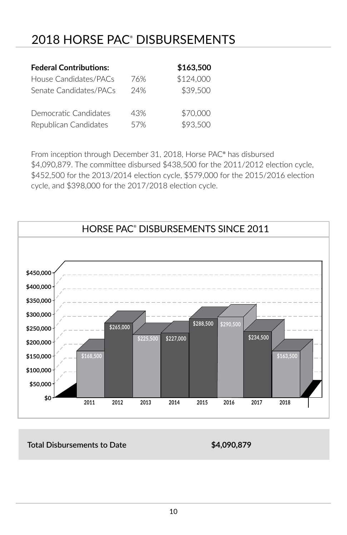## 2018 HORSE PAC® DISBURSEMENTS

| <b>Federal Contributions:</b> |     | \$163,500 |
|-------------------------------|-----|-----------|
| House Candidates/PACs         | 76% | \$124,000 |
| Senate Candidates/PACs        | 24% | \$39,500  |
| Democratic Candidates         | 43% | \$70,000  |
| Republican Candidates         | 57% | \$93,500  |

From inception through December 31, 2018, Horse PAC® has disbursed \$4,090,879. The committee disbursed \$438,500 for the 2011/2012 election cycle, \$452,500 for the 2013/2014 election cycle, \$579,000 for the 2015/2016 election cycle, and \$398,000 for the 2017/2018 election cycle.



#### **Total Disbursements to Date \$4,090,879**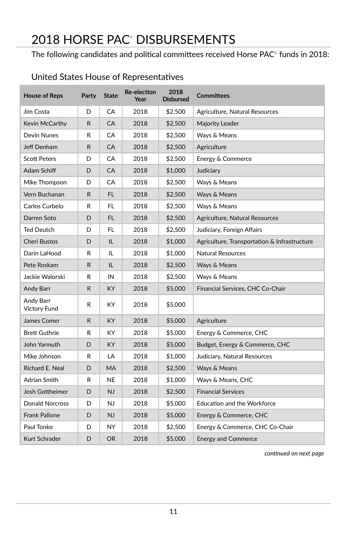## 2018 HORSE PAC® DISBURSEMENTS

The following candidates and political committees received Horse PAC® funds in 2018:  $\,$ 

| <b>House of Reps</b>             | Party | <b>State</b> | <b>Re-election</b><br>Year | 2018<br><b>Disbursed</b> | <b>Committees</b>                            |
|----------------------------------|-------|--------------|----------------------------|--------------------------|----------------------------------------------|
| Jim Costa                        | D     | CA           | 2018                       | \$2,500                  | Agriculture, Natural Resources               |
| Kevin McCarthy                   | R     | CA           | 2018                       | \$2,500                  | Majority Leader                              |
| Devin Nunes                      | R     | CA           | 2018                       | \$2,500                  | Ways & Means                                 |
| Jeff Denham                      | R.    | CA           | 2018                       | \$2,500                  | Agriculture                                  |
| <b>Scott Peters</b>              | D     | CA           | 2018                       | \$2,500                  | Energy & Commerce                            |
| Adam Schiff                      | D     | CA           | 2018                       | \$1,000                  | Judiciary                                    |
| Mike Thompson                    | D     | CA           | 2018                       | \$2,500                  | Ways & Means                                 |
| Vern Buchanan                    | R     | FL           | 2018                       | \$2,500                  | Ways & Means                                 |
| Carlos Curbelo                   | R     | FL           | 2018                       | \$2,500                  | Ways & Means                                 |
| Darren Soto                      | D     | FL.          | 2018                       | \$2,500                  | Agriculture, Natural Resources               |
| <b>Ted Deutch</b>                | D     | FL           | 2018                       | \$2,500                  | Judiciary, Foreign Affairs                   |
| <b>Cheri Bustos</b>              | D     | IL.          | 2018                       | \$1,000                  | Agriculture, Transportation & Infrastructure |
| Darin LaHood                     | R     | IL           | 2018                       | \$1,000                  | Natural Resources                            |
| Pete Roskam                      | R.    | IL           | 2018                       | \$2,500                  | Ways & Means                                 |
| Jackie Walorski                  | R     | IN           | 2018                       | \$2,500                  | Ways & Means                                 |
| Andy Barr                        | R.    | KY           | 2018                       | \$5,000                  | Financial Services, CHC Co-Chair             |
| Andy Barr<br><b>Victory Fund</b> | R     | КY           | 2018                       | \$5,000                  |                                              |
| James Comer                      | R     | KY           | 2018                       | \$5,000                  | Agriculture                                  |
| <b>Brett Guthrie</b>             | R     | KY           | 2018                       | \$5,000                  | Energy & Commerce, CHC                       |
| John Yarmuth                     | D     | KY           | 2018                       | \$5,000                  | Budget, Energy & Commerce, CHC               |
| Mike Johnson                     | R     | LA           | 2018                       | \$1,000                  | Judiciary, Natural Resources                 |
| Richard E. Neal                  | D     | MA           | 2018                       | \$2,500                  | Ways & Means                                 |
| Adrian Smith                     | R     | NE           | 2018                       | \$1,000                  | Ways & Means, CHC                            |
| Josh Gottheimer                  | D     | <b>NJ</b>    | 2018                       | \$2,500                  | <b>Financial Services</b>                    |
| <b>Donald Norcross</b>           | D     | <b>NJ</b>    | 2018                       | \$5,000                  | <b>Education and the Workforce</b>           |
| <b>Frank Pallone</b>             | D     | NJ           | 2018                       | \$5,000                  | Energy & Commerce, CHC                       |
| Paul Tonko                       | D     | NY           | 2018                       | \$2,500                  | Energy & Commerce, CHC Co-Chair              |
| Kurt Schrader                    | D     | <b>OR</b>    | 2018                       | \$5,000                  | <b>Energy and Commerce</b>                   |

### United States House of Representatives

*continued on next page*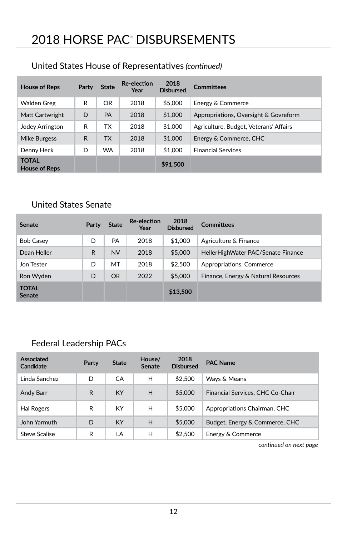### United States House of Representatives *(continued)*

| <b>House of Reps</b>                 | Party | <b>State</b> | <b>Re-election</b><br>Year | 2018<br><b>Disbursed</b> | <b>Committees</b>                      |
|--------------------------------------|-------|--------------|----------------------------|--------------------------|----------------------------------------|
| Walden Greg                          | R     | OR           | 2018                       | \$5,000                  | Energy & Commerce                      |
| Matt Cartwright                      | D     | PA           | 2018                       | \$1,000                  | Appropriations, Oversight & Govreform  |
| Jodey Arrington                      | R     | ТX           | 2018                       | \$1,000                  | Agriculture, Budget, Veterans' Affairs |
| <b>Mike Burgess</b>                  | R     | <b>TX</b>    | 2018                       | \$1,000                  | Energy & Commerce, CHC                 |
| Denny Heck                           | D     | <b>WA</b>    | 2018                       | \$1,000                  | <b>Financial Services</b>              |
| <b>TOTAL</b><br><b>House of Reps</b> |       |              |                            | \$91,500                 |                                        |

### United States Senate

| <b>Senate</b>                 | Party | <b>State</b> | <b>Re-election</b><br>Year | 2018<br><b>Disbursed</b> | <b>Committees</b>                   |
|-------------------------------|-------|--------------|----------------------------|--------------------------|-------------------------------------|
| <b>Bob Casey</b>              | D     | <b>PA</b>    | 2018                       | \$1,000                  | Agriculture & Finance               |
| Dean Heller                   | R     | <b>NV</b>    | 2018                       | \$5,000                  | HellerHighWater PAC/Senate Finance  |
| Jon Tester                    | D     | MT           | 2018                       | \$2.500                  | Appropriations, Commerce            |
| Ron Wyden                     | D     | <b>OR</b>    | 2022                       | \$5,000                  | Finance, Energy & Natural Resources |
| <b>TOTAL</b><br><b>Senate</b> |       |              |                            | \$13,500                 |                                     |

### Federal Leadership PACs

| Associated<br>Candidate | Party | <b>State</b> | House/<br><b>Senate</b> | 2018<br><b>Disbursed</b> | <b>PAC Name</b>                  |
|-------------------------|-------|--------------|-------------------------|--------------------------|----------------------------------|
| Linda Sanchez           | D     | CA           | H                       | \$2.500                  | Wavs & Means                     |
| Andy Barr               | R     | <b>KY</b>    | H                       | \$5,000                  | Financial Services, CHC Co-Chair |
| Hal Rogers              | R     | KY           | н                       | \$5,000                  | Appropriations Chairman, CHC     |
| John Yarmuth            | D     | <b>KY</b>    | H                       | \$5,000                  | Budget, Energy & Commerce, CHC   |
| Steve Scalise           | R     | LA           | Н                       | \$2,500                  | Energy & Commerce                |

*continued on next page*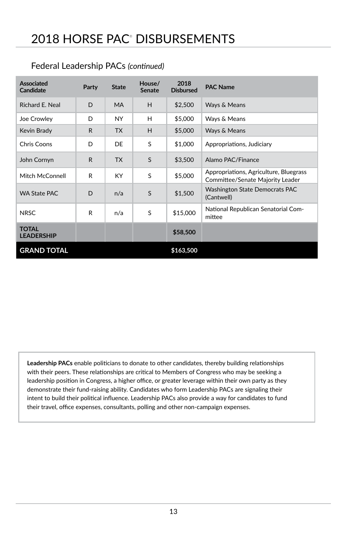| Associated<br><b>Candidate</b>    | Party        | <b>State</b> | House/<br><b>Senate</b> | 2018<br><b>Disbursed</b> | <b>PAC Name</b>                                                            |
|-----------------------------------|--------------|--------------|-------------------------|--------------------------|----------------------------------------------------------------------------|
| Richard E. Neal                   | D            | <b>MA</b>    | H                       | \$2,500                  | Ways & Means                                                               |
| Joe Crowley                       | D            | NY.          | н                       | \$5,000                  | Ways & Means                                                               |
| Kevin Brady                       | $\mathsf{R}$ | <b>TX</b>    | H                       | \$5,000                  | Ways & Means                                                               |
| Chris Coons                       | D            | DE           | S                       | \$1,000                  | Appropriations, Judiciary                                                  |
| John Cornyn                       | $\mathsf{R}$ | <b>TX</b>    | S                       | \$3,500                  | Alamo PAC/Finance                                                          |
| Mitch McConnell                   | R            | <b>KY</b>    | S                       | \$5,000                  | Appropriations, Agriculture, Bluegrass<br>Committee/Senate Majority Leader |
| <b>WA State PAC</b>               | D            | n/a          | S                       | \$1,500                  | <b>Washington State Democrats PAC</b><br>(Cantwell)                        |
| <b>NRSC</b>                       | R            | n/a          | S                       | \$15,000                 | National Republican Senatorial Com-<br>mittee                              |
| <b>TOTAL</b><br><b>LEADERSHIP</b> |              |              |                         | \$58,500                 |                                                                            |
| <b>GRAND TOTAL</b>                |              |              |                         | \$163,500                |                                                                            |

#### Federal Leadership PACs *(continued)*

**Leadership PACs** enable politicians to donate to other candidates, thereby building relationships with their peers. These relationships are critical to Members of Congress who may be seeking a leadership position in Congress, a higher office, or greater leverage within their own party as they demonstrate their fund-raising ability. Candidates who form Leadership PACs are signaling their intent to build their political influence. Leadership PACs also provide a way for candidates to fund their travel, office expenses, consultants, polling and other non-campaign expenses.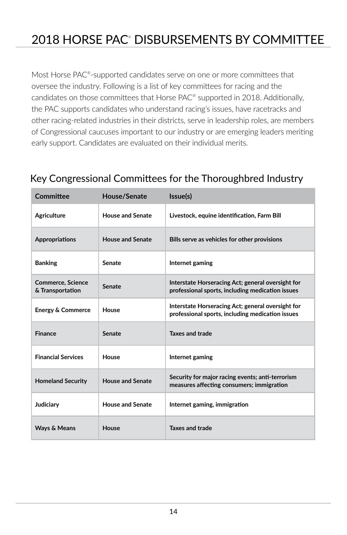## 2018 HORSE PAC® DISBURSEMENTS BY COMMITTEE

Most Horse PAC<sup>®</sup>-supported candidates serve on one or more committees that oversee the industry. Following is a list of key committees for racing and the candidates on those committees that Horse PAC® supported in 2018. Additionally, the PAC supports candidates who understand racing's issues, have racetracks and other racing-related industries in their districts, serve in leadership roles, are members of Congressional caucuses important to our industry or are emerging leaders meriting early support. Candidates are evaluated on their individual merits.

| Committee                                    | House/Senate            | Issue(s)                                                                                              |
|----------------------------------------------|-------------------------|-------------------------------------------------------------------------------------------------------|
| Agriculture                                  | House and Senate        | Livestock, equine identification, Farm Bill                                                           |
| <b>Appropriations</b>                        | <b>House and Senate</b> | Bills serve as vehicles for other provisions                                                          |
| <b>Banking</b>                               | Senate                  | Internet gaming                                                                                       |
| <b>Commerce, Science</b><br>& Transportation | Senate                  | Interstate Horseracing Act; general oversight for<br>professional sports, including medication issues |
| <b>Energy &amp; Commerce</b>                 | House                   | Interstate Horseracing Act; general oversight for<br>professional sports, including medication issues |
| <b>Finance</b>                               | Senate                  | Taxes and trade                                                                                       |
| <b>Financial Services</b>                    | House                   | Internet gaming                                                                                       |
| <b>Homeland Security</b>                     | <b>House and Senate</b> | Security for major racing events; anti-terrorism<br>measures affecting consumers; immigration         |
| Judiciary                                    | House and Senate        | Internet gaming, immigration                                                                          |
| Ways & Means                                 | House                   | <b>Taxes and trade</b>                                                                                |

### Key Congressional Committees for the Thoroughbred Industry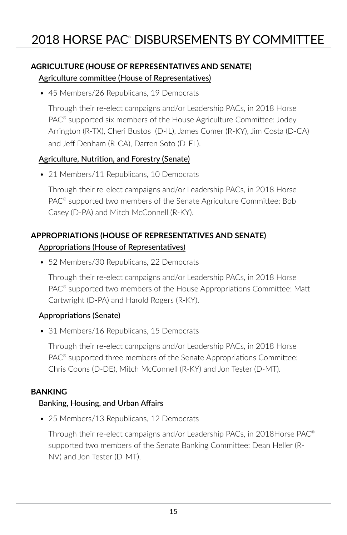#### **AGRICULTURE (HOUSE OF REPRESENTATIVES AND SENATE)**  Agriculture committee (House of Representatives)

• 45 Members/26 Republicans, 19 Democrats

Through their re-elect campaigns and/or Leadership PACs, in 2018 Horse PAC® supported six members of the House Agriculture Committee: Jodey Arrington (R-TX), Cheri Bustos (D-IL), James Comer (R-KY), Jim Costa (D-CA) and Jeff Denham (R-CA), Darren Soto (D-FL).

#### Agriculture, Nutrition, and Forestry (Senate)

• 21 Members/11 Republicans, 10 Democrats

Through their re-elect campaigns and/or Leadership PACs, in 2018 Horse PAC® supported two members of the Senate Agriculture Committee: Bob Casey (D-PA) and Mitch McConnell (R-KY).

### **APPROPRIATIONS (HOUSE OF REPRESENTATIVES AND SENATE)**  Appropriations (House of Representatives)

• 52 Members/30 Republicans, 22 Democrats

Through their re-elect campaigns and/or Leadership PACs, in 2018 Horse PAC<sup>®</sup> supported two members of the House Appropriations Committee: Matt Cartwright (D-PA) and Harold Rogers (R-KY).

#### Appropriations (Senate)

• 31 Members/16 Republicans, 15 Democrats

Through their re-elect campaigns and/or Leadership PACs, in 2018 Horse PAC® supported three members of the Senate Appropriations Committee: Chris Coons (D-DE), Mitch McConnell (R-KY) and Jon Tester (D-MT).

#### **BANKING**

#### Banking, Housing, and Urban Affairs

• 25 Members/13 Republicans, 12 Democrats

Through their re-elect campaigns and/or Leadership PACs, in 2018Horse PAC® supported two members of the Senate Banking Committee: Dean Heller (R-NV) and Jon Tester (D-MT).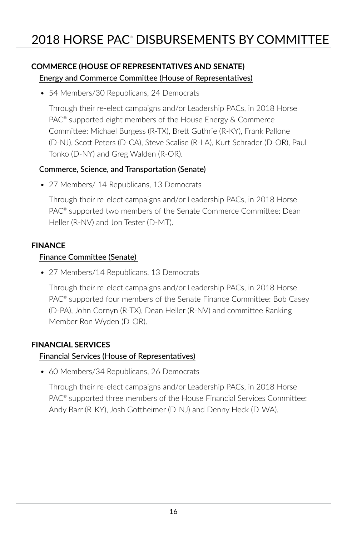### **COMMERCE (HOUSE OF REPRESENTATIVES AND SENATE)** Energy and Commerce Committee (House of Representatives)

• 54 Members/30 Republicans, 24 Democrats

Through their re-elect campaigns and/or Leadership PACs, in 2018 Horse PAC® supported eight members of the House Energy & Commerce Committee: Michael Burgess (R-TX), Brett Guthrie (R-KY), Frank Pallone (D-NJ), Scott Peters (D-CA), Steve Scalise (R-LA), Kurt Schrader (D-OR), Paul Tonko (D-NY) and Greg Walden (R-OR).

#### Commerce, Science, and Transportation (Senate)

• 27 Members/ 14 Republicans, 13 Democrats

Through their re-elect campaigns and/or Leadership PACs, in 2018 Horse PAC® supported two members of the Senate Commerce Committee: Dean Heller (R-NV) and Jon Tester (D-MT).

#### **FINANCE**

#### Finance Committee (Senate)

• 27 Members/14 Republicans, 13 Democrats

Through their re-elect campaigns and/or Leadership PACs, in 2018 Horse PAC<sup>®</sup> supported four members of the Senate Finance Committee: Bob Casey (D-PA), John Cornyn (R-TX), Dean Heller (R-NV) and committee Ranking Member Ron Wyden (D-OR).

#### **FINANCIAL SERVICES**

#### Financial Services (House of Representatives)

• 60 Members/34 Republicans, 26 Democrats

Through their re-elect campaigns and/or Leadership PACs, in 2018 Horse PAC® supported three members of the House Financial Services Committee: Andy Barr (R-KY), Josh Gottheimer (D-NJ) and Denny Heck (D-WA).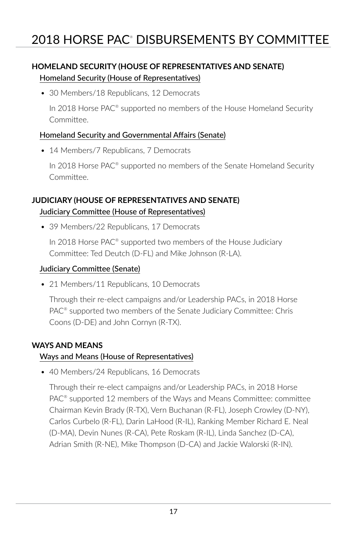### **HOMELAND SECURITY (HOUSE OF REPRESENTATIVES AND SENATE)** Homeland Security (House of Representatives)

• 30 Members/18 Republicans, 12 Democrats

In 2018 Horse PAC<sup>®</sup> supported no members of the House Homeland Security Committee.

#### Homeland Security and Governmental Affairs (Senate)

• 14 Members/7 Republicans, 7 Democrats

In 2018 Horse PAC<sup>®</sup> supported no members of the Senate Homeland Security Committee.

### **JUDICIARY (HOUSE OF REPRESENTATIVES AND SENATE)** Judiciary Committee (House of Representatives)

• 39 Members/22 Republicans, 17 Democrats

In 2018 Horse PAC® supported two members of the House Judiciary Committee: Ted Deutch (D-FL) and Mike Johnson (R-LA).

#### Judiciary Committee (Senate)

• 21 Members/11 Republicans, 10 Democrats

Through their re-elect campaigns and/or Leadership PACs, in 2018 Horse PAC® supported two members of the Senate Judiciary Committee: Chris Coons (D-DE) and John Cornyn (R-TX).

#### **WAYS AND MEANS**

#### Ways and Means (House of Representatives)

• 40 Members/24 Republicans, 16 Democrats

Through their re-elect campaigns and/or Leadership PACs, in 2018 Horse PAC® supported 12 members of the Ways and Means Committee: committee Chairman Kevin Brady (R-TX), Vern Buchanan (R-FL), Joseph Crowley (D-NY), Carlos Curbelo (R-FL), Darin LaHood (R-IL), Ranking Member Richard E. Neal (D-MA), Devin Nunes (R-CA), Pete Roskam (R-IL), Linda Sanchez (D-CA), Adrian Smith (R-NE), Mike Thompson (D-CA) and Jackie Walorski (R-IN).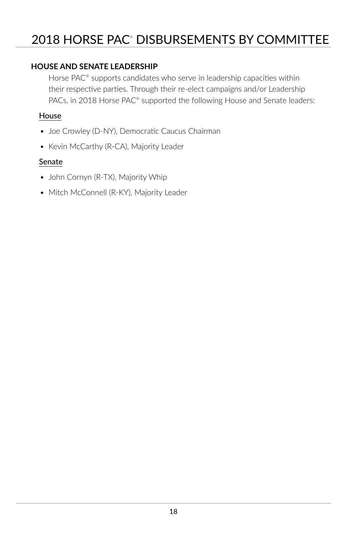### 2018 HORSE PAC® DISBURSEMENTS BY COMMITTEE

#### **HOUSE AND SENATE LEADERSHIP**

Horse PAC<sup>®</sup> supports candidates who serve in leadership capacities within their respective parties. Through their re-elect campaigns and/or Leadership PACs, in 2018 Horse PAC® supported the following House and Senate leaders:

#### House

- Joe Crowley (D-NY), Democratic Caucus Chairman
- Kevin McCarthy (R-CA), Majority Leader

#### Senate

- John Cornyn (R-TX), Majority Whip
- Mitch McConnell (R-KY), Majority Leader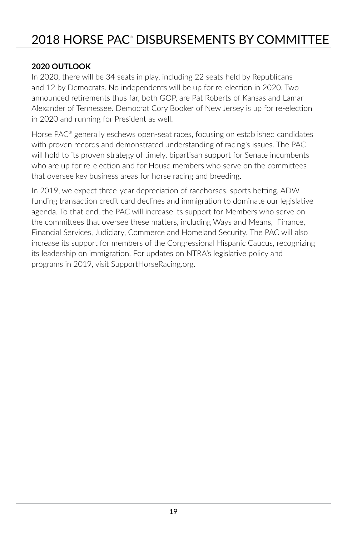### 2018 HORSE PAC® DISBURSEMENTS BY COMMITTEE

#### **2020 OUTLOOK**

In 2020, there will be 34 seats in play, including 22 seats held by Republicans and 12 by Democrats. No independents will be up for re-election in 2020. Two announced retirements thus far, both GOP, are Pat Roberts of Kansas and Lamar Alexander of Tennessee. Democrat Cory Booker of New Jersey is up for re-election in 2020 and running for President as well.

Horse PAC<sup>®</sup> generally eschews open-seat races, focusing on established candidates with proven records and demonstrated understanding of racing's issues. The PAC will hold to its proven strategy of timely, bipartisan support for Senate incumbents who are up for re-election and for House members who serve on the committees that oversee key business areas for horse racing and breeding.

In 2019, we expect three-year depreciation of racehorses, sports betting, ADW funding transaction credit card declines and immigration to dominate our legislative agenda. To that end, the PAC will increase its support for Members who serve on the committees that oversee these matters, including Ways and Means, Finance, Financial Services, Judiciary, Commerce and Homeland Security. The PAC will also increase its support for members of the Congressional Hispanic Caucus, recognizing its leadership on immigration. For updates on NTRA's legislative policy and programs in 2019, visit SupportHorseRacing.org.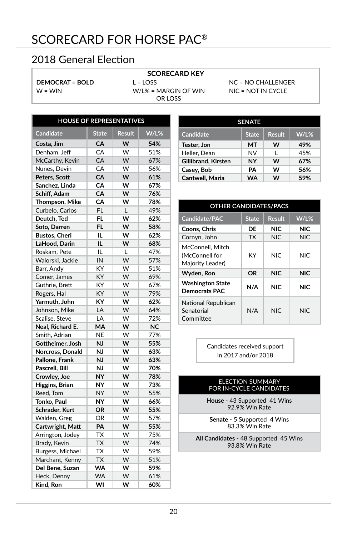### SCORECARD FOR HORSE PAC®

### 2018 General Election

#### **DEMOCRAT = BOLD**  $W = WIN$

#### **SCORECARD KEY**

 $L =$  LOSS

W/L% = MARGIN OF WIN OR LOSS

NC = NO CHALLENGER NIC = NOT IN CYCLE

| <b>HOUSE OF REPRESENTATIVES</b> |              |               |           |  |  |  |
|---------------------------------|--------------|---------------|-----------|--|--|--|
| <b>Candidate</b>                | <b>State</b> | <b>Result</b> | W/L%      |  |  |  |
| Costa, Jim                      | CA           | W             | 54%       |  |  |  |
| Denham, Jeff                    | CA           | W             | 51%       |  |  |  |
| McCarthy, Kevin                 | CA           | W             | 67%       |  |  |  |
| Nunes, Devin                    | CA           | W             | 56%       |  |  |  |
| Peters, Scott                   | CA           | W             | 61%       |  |  |  |
| Sanchez, Linda                  | CA           | W             | 67%       |  |  |  |
| Schiff, Adam                    | СA           | w             | 76%       |  |  |  |
| Thompson, Mike                  | CA           | W             | 78%       |  |  |  |
| Curbelo, Carlos                 | FL           | L             | 49%       |  |  |  |
| Deutch, Ted                     | FL           | w             | 62%       |  |  |  |
| Soto, Darren                    | FL           | W             | 58%       |  |  |  |
| <b>Bustos, Cheri</b>            | IL           | w             | 62%       |  |  |  |
| LaHood, Darin                   | IL           | W             | 68%       |  |  |  |
| Roskam, Pete                    | IL           | L             | 47%       |  |  |  |
| Walorski, Jackie                | IN           | W             | 57%       |  |  |  |
| Barr, Andy                      | KY           | W             | 51%       |  |  |  |
| Comer, James                    | КY           | W             | 69%       |  |  |  |
| Guthrie, Brett                  | КY           | W             | 67%       |  |  |  |
| Rogers, Hal                     | KY           | W             | 79%       |  |  |  |
| Yarmuth, John                   | КY           | W             | 62%       |  |  |  |
| Johnson, Mike                   | LA           | W             | 64%       |  |  |  |
| Scalise, Steve                  | LA           | W             | 72%       |  |  |  |
| Neal, Richard E.                | MA           | W             | <b>NC</b> |  |  |  |
| Smith, Adrian                   | NE           | W             | 77%       |  |  |  |
| Gottheimer, Josh                | NJ           | w             | 55%       |  |  |  |
| Norcross, Donald                | NJ           | W             | 63%       |  |  |  |
| Pallone, Frank                  | <b>NJ</b>    | W             | 63%       |  |  |  |
| Pascrell, Bill                  | NJ           | w             | 70%       |  |  |  |
| Crowley, Joe                    | <b>NY</b>    | W             | 78%       |  |  |  |
| Higgins, Brian                  | NY           | W             | 73%       |  |  |  |
| Reed, Tom                       | <b>NY</b>    | W             | 55%       |  |  |  |
| Tonko, Paul                     | NY           | W             | 66%       |  |  |  |
| Schrader, Kurt                  | <b>OR</b>    | W             | 55%       |  |  |  |
| Walden, Greg                    | OR           | W             | 57%       |  |  |  |
| Cartwright, Matt                | PA           | W             | 55%       |  |  |  |
| Arrington, Jodey                | TX           | W             | 75%       |  |  |  |
| Brady, Kevin                    | <b>TX</b>    | W             | 74%       |  |  |  |
| Burgess, Michael                | <b>TX</b>    | w             | 59%       |  |  |  |
| Marchant, Kenny                 | <b>TX</b>    | W             | 51%       |  |  |  |
| Del Bene, Suzan                 | <b>WA</b>    | W             | 59%       |  |  |  |
| Heck, Denny                     | <b>WA</b>    | W             | 61%       |  |  |  |
| Kind, Ron                       | WI           | w             | 60%       |  |  |  |

| <b>SENATE</b>       |              |               |         |  |  |  |
|---------------------|--------------|---------------|---------|--|--|--|
| Candidate           | <b>State</b> | <b>Result</b> | $W/L$ % |  |  |  |
| Tester. Jon         | MT           | w             | 49%     |  |  |  |
| Heller, Dean        | <b>NV</b>    | L             | 45%     |  |  |  |
| Gillibrand, Kirsten | NY           | w             | 67%     |  |  |  |
| Casey, Bob          | PΑ           | w             | 56%     |  |  |  |
| Cantwell, Maria     | <b>WA</b>    | w             | 59%     |  |  |  |

| <b>OTHER CANDIDATES/PACS</b>                           |              |               |            |  |  |  |
|--------------------------------------------------------|--------------|---------------|------------|--|--|--|
| Candidate/PAC                                          | <b>State</b> | <b>Result</b> | $W/L$ %    |  |  |  |
| Coons, Chris                                           | DE           | NIC           | <b>NIC</b> |  |  |  |
| Cornyn, John                                           | <b>TX</b>    | <b>NIC</b>    | <b>NIC</b> |  |  |  |
| McConnell, Mitch<br>(McConnell for<br>Majority Leader) | KY           | NIC.          | NIC.       |  |  |  |
| Wyden, Ron                                             | OR           | <b>NIC</b>    | <b>NIC</b> |  |  |  |
| <b>Washington State</b><br>Democrats PAC               | N/A          | NIC.          | NIC.       |  |  |  |
| National Republican<br>Senatorial<br>Committee         | N/A          | NIC.          | NIC.       |  |  |  |

Candidates received support in 2017 and/or 2018

#### ELECTION SUMMARY FOR IN-CYCLE CANDIDATES

**House** - 43 Supported 41 Wins 92.9% Win Rate

**Senate** - 5 Supported 4 Wins 83.3% Win Rate

**All Candidates** - 48 Supported 45 Wins 93.8% Win Rate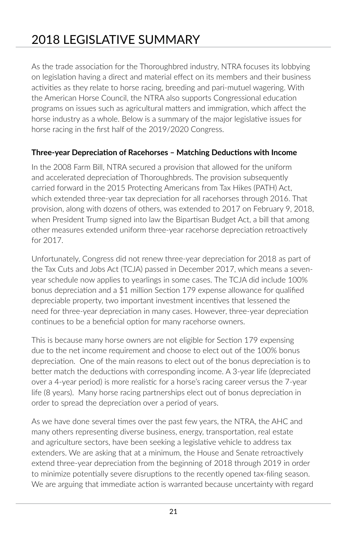## 2018 LEGISLATIVE SUMMARY

As the trade association for the Thoroughbred industry, NTRA focuses its lobbying on legislation having a direct and material effect on its members and their business activities as they relate to horse racing, breeding and pari-mutuel wagering. With the American Horse Council, the NTRA also supports Congressional education programs on issues such as agricultural matters and immigration, which affect the horse industry as a whole. Below is a summary of the major legislative issues for horse racing in the first half of the 2019/2020 Congress.

#### **Three-year Depreciation of Racehorses – Matching Deductions with Income**

In the 2008 Farm Bill, NTRA secured a provision that allowed for the uniform and accelerated depreciation of Thoroughbreds. The provision subsequently carried forward in the 2015 Protecting Americans from Tax Hikes (PATH) Act, which extended three-year tax depreciation for all racehorses through 2016. That provision, along with dozens of others, was extended to 2017 on February 9, 2018, when President Trump signed into law the Bipartisan Budget Act, a bill that among other measures extended uniform three-year racehorse depreciation retroactively for 2017.

Unfortunately, Congress did not renew three-year depreciation for 2018 as part of the Tax Cuts and Jobs Act (TCJA) passed in December 2017, which means a sevenyear schedule now applies to yearlings in some cases. The TCJA did include 100% bonus depreciation and a \$1 million Section 179 expense allowance for qualified depreciable property, two important investment incentives that lessened the need for three-year depreciation in many cases. However, three-year depreciation continues to be a beneficial option for many racehorse owners.

This is because many horse owners are not eligible for Section 179 expensing due to the net income requirement and choose to elect out of the 100% bonus depreciation. One of the main reasons to elect out of the bonus depreciation is to better match the deductions with corresponding income. A 3-year life (depreciated over a 4-year period) is more realistic for a horse's racing career versus the 7-year life (8 years). Many horse racing partnerships elect out of bonus depreciation in order to spread the depreciation over a period of years.

As we have done several times over the past few years, the NTRA, the AHC and many others representing diverse business, energy, transportation, real estate and agriculture sectors, have been seeking a legislative vehicle to address tax extenders. We are asking that at a minimum, the House and Senate retroactively extend three-year depreciation from the beginning of 2018 through 2019 in order to minimize potentially severe disruptions to the recently opened tax-filing season. We are arguing that immediate action is warranted because uncertainty with regard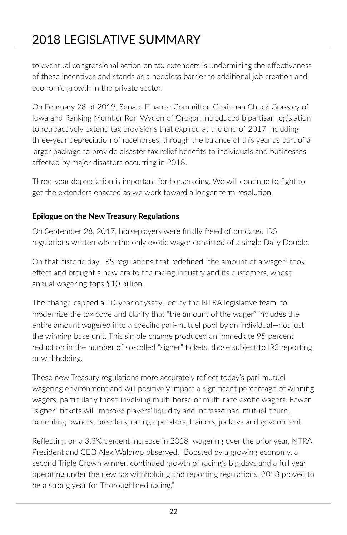## 2018 LEGISLATIVE SUMMARY

to eventual congressional action on tax extenders is undermining the effectiveness of these incentives and stands as a needless barrier to additional job creation and economic growth in the private sector.

On February 28 of 2019, Senate Finance Committee Chairman Chuck Grassley of Iowa and Ranking Member Ron Wyden of Oregon introduced bipartisan legislation to retroactively extend tax provisions that expired at the end of 2017 including three-year depreciation of racehorses, through the balance of this year as part of a larger package to provide disaster tax relief benefits to individuals and businesses affected by major disasters occurring in 2018.

Three-year depreciation is important for horseracing. We will continue to fight to get the extenders enacted as we work toward a longer-term resolution.

#### **Epilogue on the New Treasury Regulations**

On September 28, 2017, horseplayers were finally freed of outdated IRS regulations written when the only exotic wager consisted of a single Daily Double.

On that historic day, IRS regulations that redefined "the amount of a wager" took effect and brought a new era to the racing industry and its customers, whose annual wagering tops \$10 billion.

The change capped a 10-year odyssey, led by the NTRA legislative team, to modernize the tax code and clarify that "the amount of the wager" includes the entire amount wagered into a specific pari-mutuel pool by an individual—not just the winning base unit. This simple change produced an immediate 95 percent reduction in the number of so-called "signer" tickets, those subject to IRS reporting or withholding.

These new Treasury regulations more accurately reflect today's pari-mutuel wagering environment and will positively impact a significant percentage of winning wagers, particularly those involving multi-horse or multi-race exotic wagers. Fewer "signer" tickets will improve players' liquidity and increase pari-mutuel churn, benefiting owners, breeders, racing operators, trainers, jockeys and government.

Reflecting on a 3.3% percent increase in 2018 wagering over the prior year, NTRA President and CEO Alex Waldrop observed, "Boosted by a growing economy, a second Triple Crown winner, continued growth of racing's big days and a full year operating under the new tax withholding and reporting regulations, 2018 proved to be a strong year for Thoroughbred racing."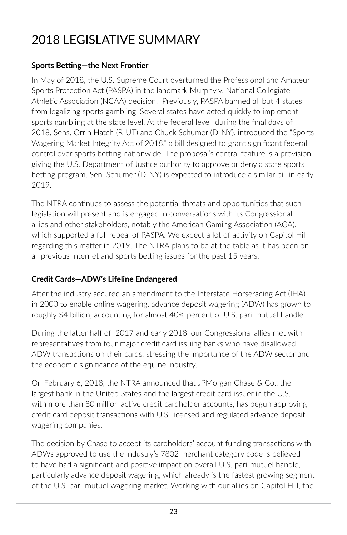#### **Sports Betting—the Next Frontier**

In May of 2018, the U.S. Supreme Court overturned the Professional and Amateur Sports Protection Act (PASPA) in the landmark Murphy v. National Collegiate Athletic Association (NCAA) decision. Previously, PASPA banned all but 4 states from legalizing sports gambling. Several states have acted quickly to implement sports gambling at the state level. At the federal level, during the final days of 2018, Sens. Orrin Hatch (R-UT) and Chuck Schumer (D-NY), introduced the "Sports Wagering Market Integrity Act of 2018," a bill designed to grant significant federal control over sports betting nationwide. The proposal's central feature is a provision giving the U.S. Department of Justice authority to approve or deny a state sports betting program. Sen. Schumer (D-NY) is expected to introduce a similar bill in early 2019.

The NTRA continues to assess the potential threats and opportunities that such legislation will present and is engaged in conversations with its Congressional allies and other stakeholders, notably the American Gaming Association (AGA), which supported a full repeal of PASPA. We expect a lot of activity on Capitol Hill regarding this matter in 2019. The NTRA plans to be at the table as it has been on all previous Internet and sports betting issues for the past 15 years.

### **Credit Cards—ADW's Lifeline Endangered**

After the industry secured an amendment to the Interstate Horseracing Act (IHA) in 2000 to enable online wagering, advance deposit wagering (ADW) has grown to roughly \$4 billion, accounting for almost 40% percent of U.S. pari-mutuel handle.

During the latter half of 2017 and early 2018, our Congressional allies met with representatives from four major credit card issuing banks who have disallowed ADW transactions on their cards, stressing the importance of the ADW sector and the economic significance of the equine industry.

On February 6, 2018, the NTRA announced that JPMorgan Chase & Co., the largest bank in the United States and the largest credit card issuer in the U.S. with more than 80 million active credit cardholder accounts, has begun approving credit card deposit transactions with U.S. licensed and regulated advance deposit wagering companies.

The decision by Chase to accept its cardholders' account funding transactions with ADWs approved to use the industry's 7802 merchant category code is believed to have had a significant and positive impact on overall U.S. pari-mutuel handle, particularly advance deposit wagering, which already is the fastest growing segment of the U.S. pari-mutuel wagering market. Working with our allies on Capitol Hill, the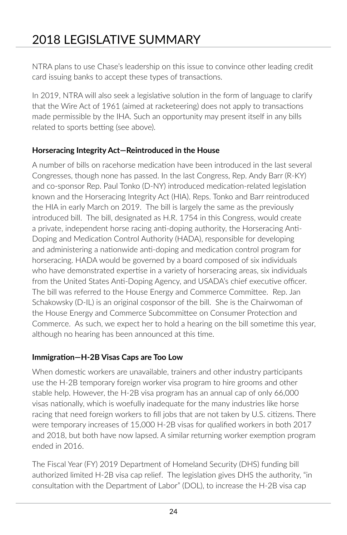## 2018 LEGISLATIVE SUMMARY

NTRA plans to use Chase's leadership on this issue to convince other leading credit card issuing banks to accept these types of transactions.

In 2019, NTRA will also seek a legislative solution in the form of language to clarify that the Wire Act of 1961 (aimed at racketeering) does not apply to transactions made permissible by the IHA. Such an opportunity may present itself in any bills related to sports betting (see above).

#### **Horseracing Integrity Act—Reintroduced in the House**

A number of bills on racehorse medication have been introduced in the last several Congresses, though none has passed. In the last Congress, Rep. Andy Barr (R-KY) and co-sponsor Rep. Paul Tonko (D-NY) introduced medication-related legislation known and the Horseracing Integrity Act (HIA). Reps. Tonko and Barr reintroduced the HIA in early March on 2019. The bill is largely the same as the previously introduced bill. The bill, designated as H.R. 1754 in this Congress, would create a private, independent horse racing anti-doping authority, the Horseracing Anti-Doping and Medication Control Authority (HADA), responsible for developing and administering a nationwide anti-doping and medication control program for horseracing. HADA would be governed by a board composed of six individuals who have demonstrated expertise in a variety of horseracing areas, six individuals from the United States Anti-Doping Agency, and USADA's chief executive officer. The bill was referred to the House Energy and Commerce Committee. Rep. Jan Schakowsky (D-IL) is an original cosponsor of the bill. She is the Chairwoman of the House Energy and Commerce Subcommittee on Consumer Protection and Commerce. As such, we expect her to hold a hearing on the bill sometime this year, although no hearing has been announced at this time.

#### **Immigration—H-2B Visas Caps are Too Low**

When domestic workers are unavailable, trainers and other industry participants use the H-2B temporary foreign worker visa program to hire grooms and other stable help. However, the H-2B visa program has an annual cap of only 66,000 visas nationally, which is woefully inadequate for the many industries like horse racing that need foreign workers to fill jobs that are not taken by U.S. citizens. There were temporary increases of 15,000 H-2B visas for qualified workers in both 2017 and 2018, but both have now lapsed. A similar returning worker exemption program ended in 2016.

The Fiscal Year (FY) 2019 Department of Homeland Security (DHS) funding bill authorized limited H-2B visa cap relief. The legislation gives DHS the authority, "in consultation with the Department of Labor" (DOL), to increase the H-2B visa cap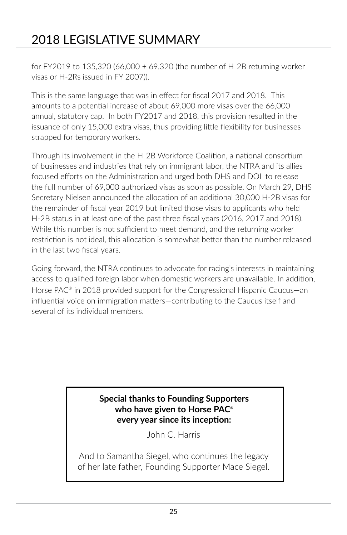## 2018 LEGISLATIVE SUMMARY

for FY2019 to 135,320 (66,000 + 69,320 (the number of H-2B returning worker visas or H-2Rs issued in FY 2007)).

This is the same language that was in effect for fiscal 2017 and 2018. This amounts to a potential increase of about 69,000 more visas over the 66,000 annual, statutory cap. In both FY2017 and 2018, this provision resulted in the issuance of only 15,000 extra visas, thus providing little flexibility for businesses strapped for temporary workers.

Through its involvement in the H-2B Workforce Coalition, a national consortium of businesses and industries that rely on immigrant labor, the NTRA and its allies focused efforts on the Administration and urged both DHS and DOL to release the full number of 69,000 authorized visas as soon as possible. On March 29, DHS Secretary Nielsen announced the allocation of an additional 30,000 H-2B visas for the remainder of fiscal year 2019 but limited those visas to applicants who held H-2B status in at least one of the past three fiscal years (2016, 2017 and 2018). While this number is not sufficient to meet demand, and the returning worker restriction is not ideal, this allocation is somewhat better than the number released in the last two fiscal years.

Going forward, the NTRA continues to advocate for racing's interests in maintaining access to qualified foreign labor when domestic workers are unavailable. In addition, Horse PAC® in 2018 provided support for the Congressional Hispanic Caucus—an influential voice on immigration matters—contributing to the Caucus itself and several of its individual members.

#### **Special thanks to Founding Supporters who have given to Horse PAC® every year since its inception:**

John C. Harris

And to Samantha Siegel, who continues the legacy of her late father, Founding Supporter Mace Siegel.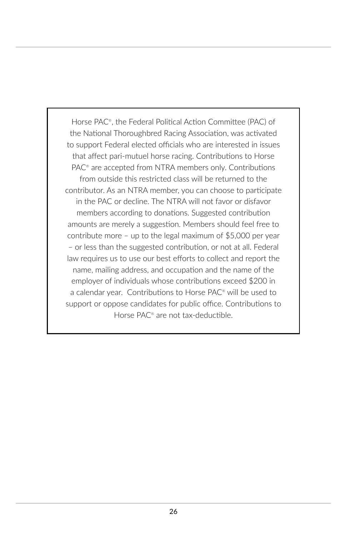Horse PAC® , the Federal Political Action Committee (PAC) of the National Thoroughbred Racing Association, was activated to support Federal elected officials who are interested in issues that affect pari-mutuel horse racing. Contributions to Horse PAC<sup>®</sup> are accepted from NTRA members only. Contributions from outside this restricted class will be returned to the contributor. As an NTRA member, you can choose to participate in the PAC or decline. The NTRA will not favor or disfavor members according to donations. Suggested contribution amounts are merely a suggestion. Members should feel free to contribute more – up to the legal maximum of \$5,000 per year – or less than the suggested contribution, or not at all. Federal law requires us to use our best efforts to collect and report the name, mailing address, and occupation and the name of the employer of individuals whose contributions exceed \$200 in a calendar year. Contributions to Horse PAC® will be used to support or oppose candidates for public office. Contributions to Horse PAC® are not tax-deductible.